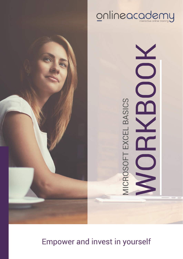



# **Empower and invest in yourself**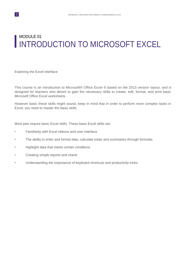# MODULE 01 INTRODUCTION TO MICROSOFT EXCEL

Exploring the Excel Interface

This course is an introduction to Microsoft® Office Excel ® based on the 2013 version layout, and is designed for learners who desire to gain the necessary skills to create, edit, format, and print basic Microsoft Office Excel worksheets.

However basic these skills might sound, keep in mind that in order to perform more complex tasks in Excel, you need to master the basic skills.

Most jobs require basic Excel skills. These basic Excel skills are:

- Familiarity with Excel ribbons and user interface
- The ability to enter and format data, calculate totals and summaries through formulas
- Highlight data that meets certain conditions
- Creating simple reports and charts
- Understanding the importance of keyboard shortcuts and productivity tricks.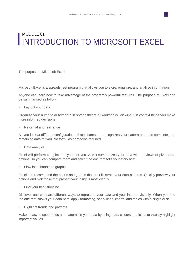# MODULE 01 INTRODUCTION TO MICROSOFT EXCEL

The purpose of Microsoft Excel

Microsoft Excel is a spreadsheet program that allows you to store, organize, and analyse information.

Anyone can learn how to take advantage of the program's powerful features. The purpose of Excel can be summarised as follow:

• Lay out your data

Organize your numeric or text data in spreadsheets or workbooks. Viewing it in context helps you make more informed decisions.

• Reformat and rearrange

As you look at different configurations, Excel learns and recognizes your pattern and auto-completes the remaining data for you. No formulas or macros required.

• Data analysis

Excel will perform complex analyses for you. And it summarizes your data with previews of pivot-table options, so you can compare them and select the one that tells your story best.

• Flow into charts and graphs

Excel can recommend the charts and graphs that best illustrate your data patterns. Quickly preview your options and pick those that present your insights most clearly.

Find your best storyline

Discover and compare different ways to represent your data-and your intents- visually. When you see the one that shows your data best, apply formatting, spark lines, charts, and tables with a single click.

• Highlight trends and patterns

Make it easy to spot trends and patterns in your data by using bars, colours and icons to visually highlight important values.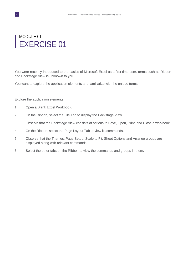### MODULE 01 EXERCISE 01

You were recently introduced to the basics of Microsoft Excel as a first time user, terms such as Ribbon and Backstage View is unknown to you.

You want to explore the application elements and familiarize with the unique terms.

Explore the application elements.

- 1. Open a Blank Excel Workbook.
- 2. On the Ribbon, select the File Tab to display the Backstage View.
- 3. Observe that the Backstage View consists of options to Save, Open, Print, and Close a workbook.
- 4. On the Ribbon, select the Page Layout Tab to view its commands.
- 5. Observe that the Themes, Page Setup, Scale to Fit, Sheet Options and Arrange groups are displayed along with relevant commands.
- 6. Select the other tabs on the Ribbon to view the commands and groups in them.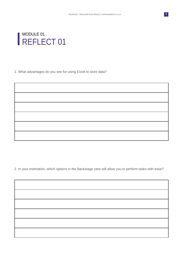

1. What advantages do you see for using Excel to store data?

2. In your estimation, which options in the Backstage view will allow you to perform tasks with ease?

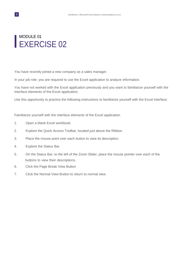### MODULE 01 EXERCISE 02

You have recently joined a new company as a sales manager.

In your job role. you are required to use the Excel application to analyze information.

You have not worked with the Excel application previously and you want to familiarize yourself with the interface elements of the Excel application.

Use this opportunity to practice the following instructions to familiarize yourself with the Excel interface.

Familiarize yourself with the interface elements of the Excel application

- 1. Open a blank Excel workbook.
- 2. Explore the Quick Access Toolbar, located just above the Ribbon.
- 3. Place the mouse point over each button to view its description.
- 4. Explore the Status Bar.
- 5. On the Status Bar, to the left of the Zoom Slider, place the mouse pointer over each of the buttons to view their descriptions.
- 6. Click the Page Break View Button
- 7. Click the Normal View Button to return to normal view.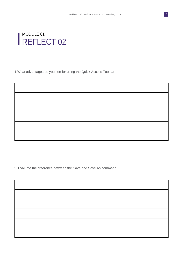

### MODULE 01 REFLECT 02

1.What advantages do you see for using the Quick Access Toolbar

2. Evaluate the difference between the Save and Save As command.

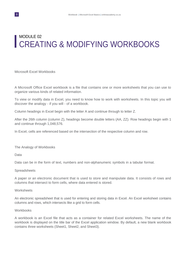# MODULE 02 CREATING & MODIFYING WORKBOOKS

Microsoft Excel Workbooks

A Microsoft Office Excel workbook is a file that contains one or more worksheets that you can use to organize various kinds of related information.

To view or modify data in Excel, you need to know how to work with worksheets. In this topic you will discover the analogy - if you will - of a workbook.

Column headings in Excel begin with the letter A and continue through to letter Z.

After the 26th column (column Z), headings become double letters (AA, ZZ). Row headings begin with 1 and continue through 1,048,576.

In Excel, cells are referenced based on the intersection of the respective column and row.

The Analogy of Workbooks

Data

Data can be in the form of text, numbers and non-alphanumeric symbols in a tabular format.

#### Spreadsheets

A paper or an electronic document that is used to store and manipulate data. It consists of rows and columns that intersect to form cells, where data entered is stored.

#### **Worksheets**

An electronic spreadsheet that is used for entering and storing data in Excel. An Excel worksheet contains columns and rows, which intersects like a grid to form cells.

#### **Workbooks**

A workbook is an Excel file that acts as a container for related Excel worksheets. The name of the workbook is displayed on the title bar of the Excel application window. By default, a new blank workbook contains three worksheets (Sheet1, Sheet2, and Sheet3).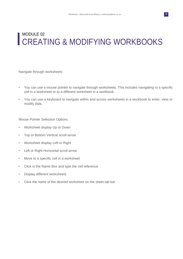# MODULE 02 CREATING & MODIFYING WORKBOOKS

Navigate through worksheets

- You can use a mouse pointer to navigate through worksheets. This includes navigating to a specific cell in a worksheet or to a different worksheet in a workbook.
- You can use a keyboard to navigate within and across worksheets in a workbook to enter, view or modify data.

Mouse Pointer Selection Options

- Worksheet display Up or Down
- Top or Bottom Vertical scroll arrow
- Worksheet display Left or Right
- Left or Right Horizontal scroll arrow
- Move to a specific cell in a worksheet
- Click in the Name Box and type the cell reference
- Display different worksheets
- Click the name of the desired worksheet on the sheet tab bar.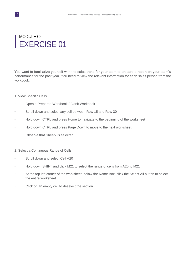### MODULE 02 EXERCISE 01

You want to familiarize yourself with the sales trend for your team to prepare a report on your team's performance for the past year. You need to view the relevant information for each sales person from the workbook.

#### 1. View Specific Cells

- Open a Prepared Workbook / Blank Workbook
- Scroll down and select any cell between Row 15 and Row 30
- Hold down CTRL and press Home to navigate to the beginning of the worksheet
- Hold down CTRL and press Page Down to move to the next worksheet.
- Observe that Sheet2 is selected
- 2. Select a Continuous Range of Cells
- Scroll down and select Cell A20
- Hold down SHIFT and click M21 to select the range of cells from A20 to M21
- At the top left corner of the worksheet, below the Name Box, click the Select All button to select the entire worksheet
- Click on an empty cell to deselect the section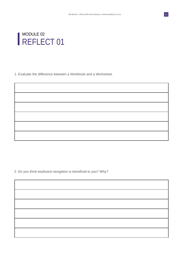

1. Evaluate the difference between a Workbook and a Worksheet.

2. Do you think keyboard navigation is beneficial to you? Why?

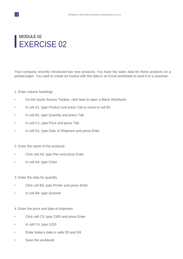### MODULE 02 EXERCISE 02

Your company recently introduced two new products. You have the sales data for these products on a printed paper. You want to create an invoice with this data in an Excel worksheet to send it to a customer.

#### 1. Enter column headings

- On the Quick Access Toolbar, click New to open a Blank Workbook
- In cell A1, type Product and press Tab to move to cell B1
- In cell B1, type Quantity and press Tab
- In cell C1, type Price and press Tab
- In cell D1, type Date of Shipment and press Enter

#### 2. Enter the name of the products

- Click cell A3, type Pen and press Enter
- In cell A4, type Chart
- 3. Enter the data for quantity
- Click cell B3, type Printer and press Enter
- In cell B4, type Scanner
- 4. Enter the price and date of shipment
- Click cell C3, type 2300 and press Enter
- In cell C4, type 1200
- Enter today's date in cells D3 and D4
- Save the workbook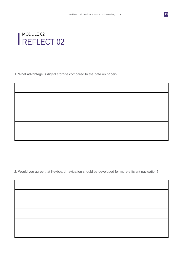

1. What advantage is digital storage compared to the data on paper?

2. Would you agree that Keyboard navigation should be developed for more efficient navigation?

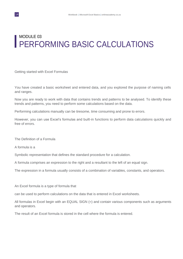# MODULE 03 PERFORMING BASIC CALCULATIONS

Getting started with Excel Formulas

You have created a basic worksheet and entered data, and you explored the purpose of naming cells and ranges.

Now you are ready to work with data that contains trends and patterns to be analysed. To identify these trends and patterns, you need to perform some calculations based on the data.

Performing calculations manually can be tiresome, time consuming and prone to errors.

However, you can use Excel's formulas and built-in functions to perform data calculations quickly and free of errors.

The Definition of a Formula

A formula is a

Symbolic representation that defines the standard procedure for a calculation.

A formula comprises an expression to the right and a resultant to the left of an equal sign.

The expression in a formula usually consists of a combination of variables, constants, and operators.

An Excel formula is a type of formula that

can be used to perform calculations on the data that is entered in Excel worksheets.

All formulas in Excel begin with an EQUAL SIGN (=) and contain various components such as arguments and operators.

The result of an Excel formula is stored in the cell where the formula is entered.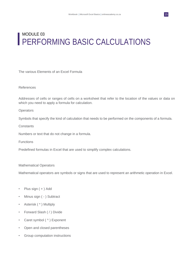# MODULE 03 **PERFORMING BASIC CALCULATIONS**

The various Elements of an Excel Formula

#### References

Addresses of cells or ranges of cells on a worksheet that refer to the location of the values or data on which you need to apply a formula for calculation.

#### **Operators**

Symbols that specify the kind of calculation that needs to be performed on the components of a formula.

#### **Constants**

Numbers or text that do not change in a formula.

Functions

Predefined formulas in Excel that are used to simplify complex calculations.

#### Mathematical Operators

Mathematical operators are symbols or signs that are used to represent an arithmetic operation in Excel.

- Plus sign ( + ) Add
- Minus sign ( ) Subtract
- Asterisk (\*) Multiply
- Forward Slash ( / ) Divide
- Caret symbol (^) Exponent
- Open and closed parentheses
- Group computation instructions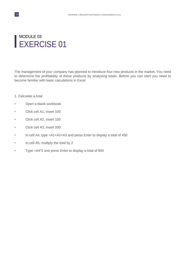### MODULE 03 EXERCISE 01

The management of your company has planned to introduce four new products in the market. You need to determine the profitability of these products by analysing totals. Before you can start you need to become familiar with basic calculations in Excel

- 1. Calculate a total
- Open a blank workbook
- Click cell A1, insert 100
- Click cell A2, insert 150
- Click cell A3, insert 200
- In cell A4, type =A1+A2+A3 and press Enter to display a total of 450
- In cell A5, multiply the total by 2
- Type =A4\*2 and press Enter to display a total of 900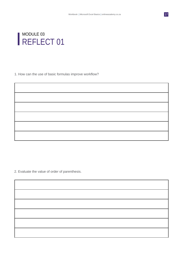

1. How can the use of basic formulas improve workflow?

2. Evaluate the value of order of parenthesis.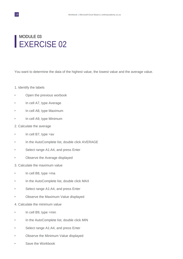### MODULE 03 EXERCISE 02

You want to determine the data of the highest value, the lowest value and the average value.

- 1. Identify the labels
- Open the previous worbook
- In cell A7, type Average
- In cell A8, type Maximum
- In cell A9, type Minimum
- 2. Calculate the average
- In cell B7, type =av
- In the AutoComplete list, double click AVERAGE
- Select range A1:A4, and press Enter
- Observe the Average displayed
- 3. Calculate the maximum value
- In cell B8, type =ma
- In the AutoComplete list, double click MAX
- Select range A1:A4, and press Enter
- Observe the Maximum Value displayed
- 4. Calculate the minimum value
- In cell B9, type =min
- In the AutoComplete list, double click MIN
- Select range A1:A4, and press Enter
- Observe the Minimum Value displayed
- Save the Workbook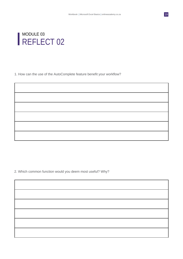

1. How can the use of the AutoComplete feature benefit your workflow?

2. Which common function would you deem most useful? Why?

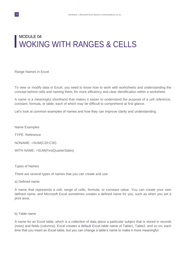# MODULE 04 WOKING WITH RANGES & CELLS

Range Names in Excel

To view or modify data in Excel, you need to know how to work with worksheets and understanding the concept behind cells and naming them, for more efficiency and clear identification within a worksheet.

A name is a meaningful shorthand that makes it easier to understand the purpose of a cell reference, constant, formula, or table, each of which may be difficult to comprehend at first glance.

Let's look at common examples of names and how they can improve clarity and understanding.

Name Examples

TYPE: Reference

NONAME: =SUM(C20:C30)

WITH NAME: =SUM(FirstQuarterSales)

Types of Names

There are several types of names that you can create and use.

a) Defined name

A name that represents a cell, range of cells, formula, or constant value. You can create your own defined name, and Microsoft Excel sometimes creates a defined name for you, such as when you set a print area.

b) Table name

A name for an Excel table, which is a collection of data about a particular subject that is stored in records (rows) and fields (columns). Excel creates a default Excel table name of Table1, Table2, and so on, each time that you insert an Excel table, but you can change a table's name to make it more meaningful.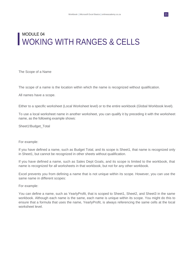# MODULE 04 WOKING WITH RANGES & CELLS

The Scope of a Name

The scope of a name is the location within which the name is recognized without qualification.

All names have a scope.

Either to a specific worksheet (Local Worksheet level) or to the entire workbook (Global Workbook level).

To use a local worksheet name in another worksheet, you can qualify it by preceding it with the worksheet name, as the following example shows:

Sheet1!Budget\_Total

#### For example:

If you have defined a name, such as Budget Total, and its scope is Sheet1, that name is recognized only in Sheet1, but cannot be recognized in other sheets without qualification.

If you have defined a name, such as Sales Dept Goals, and its scope is limited to the workbook, that name is recognized for all worksheets in that workbook, but not for any other workbook.

Excel prevents you from defining a name that is not unique within its scope. However, you can use the same name in different scopes:

For example:

You can define a name, such as YearlyProfit, that is scoped to Sheet1, Sheet2, and Sheet3 in the same workbook. Although each name is the same, each name is unique within its scope. You might do this to ensure that a formula that uses the name, YearlyProfit, is always referencing the same cells at the local worksheet level.

21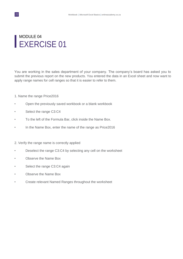### MODULE 04 EXERCISE 01

You are working in the sales department of your company. The company's board has asked you to submit the previous report on the new products. You entered the data in an Excel sheet and now want to apply range names for cell ranges so that it is easier to refer to them.

- 1. Name the range Price2016
- Open the previously saved workbook or a blank workbook
- Select the range C3:C4
- To the left of the Formula Bar, click inside the Name Box.
- In the Name Box, enter the name of the range as Price2016

#### 2. Verify the range name is correctly applied

- Deselect the range C3:C4 by selecting any cell on the worksheet
- Observe the Name Box
- Select the range C3:C4 again
- Observe the Name Box
- Create relevant Named Ranges throughout the worksheet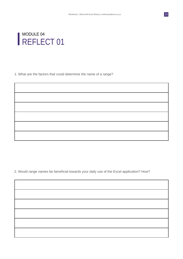

1. What are the factors that could determine the name of a range?

2. Would range names be beneficial towards your daily use of the Excel application? How?

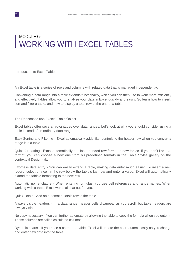# MODULE 05 WORKING WITH EXCEL TABLES

Introduction to Excel Tables

An Excel table is a series of rows and columns with related data that is managed independently.

Converting a data range into a table extends functionality, which you can then use to work more efficiently and effectively.Tables allow you to analyse your data in Excel quickly and easily. So learn how to insert, sort and filter a table, and how to display a total row at the end of a table.

Ten Reasons to use Excels' Table Object

Excel tables offer several advantages over data ranges. Let's look at why you should consider using a table instead of an ordinary data range.

Easy Sorting and Filtering - Excel automatically adds filter controls to the header row when you convert a range into a table.

Quick formatting - Excel automatically applies a banded row format to new tables. If you don't like that format, you can choose a new one from 60 predefined formats in the Table Styles gallery on the contextual Design tab.

Effortless data entry - You can easily extend a table, making data entry much easier. To insert a new record, select any cell in the row below the table's last row and enter a value. Excel will automatically extend the table's formatting to the new row.

Automatic nomenclature - When entering formulas, you use cell references and range names. When working with a table, Excel works all that out for you.

Quick Totals - Add an automatic Totals row to the table

Always visible headers - In a data range, header cells disappear as you scroll, but table headers are always visible

No copy necessary - You can further automate by allowing the table to copy the formula when you enter it. These columns are called calculated columns.

Dynamic charts - If you base a chart on a table, Excel will update the chart automatically as you change and enter new data into the table.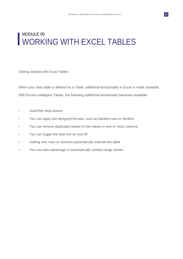### MODULE 05 WORKING WITH EXCEL TABLES

Getting Started with Excel Tables

When your data table is defined as a Table, additional functionality in Excel is made available. With Excel's intelligent Tables, the following additional functionality becomes available:

- AutoFilter drop-downs
- You can apply pre-designed formats, such as banded rows or borders.
- You can remove duplicates based on the values in one or more columns.
- You can toggle the total row on and off.
- Adding new rows or columns automatically extends the table.
- You can take advantage of automatically created range names.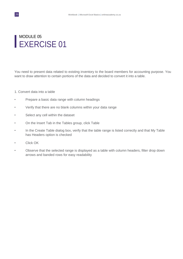### MODULE 05 EXERCISE 01

You need to present data related to existing inventory to the board members for accounting purpose. You want to draw attention to certain portions of the data and decided to convert it into a table.

#### 1. Convert data into a table

- Prepare a basic data range with column headings
- Verify that there are no blank columns within your data range
- Select any cell within the dataset
- On the Insert Tab in the Tables group, click Table
- In the Create Table dialog box, verify that the table range is listed correctly and that My Table has Headers option is checked
- Click OK
- Observe that the selected range is displayed as a table with column headers, filter drop down arrows and banded rows for easy readability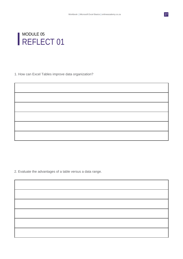

1. How can Excel Tables improve data organization?

2. Evaluate the advantages of a table versus a data range.

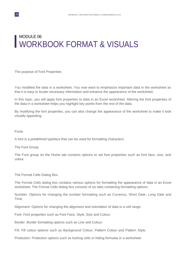# MODULE 06 WORKBOOK FORMAT & VISUALS

The purpose of Font Properties

You modified the data in a worksheet. You now want to emphasize important data in the worksheet so that it is easy to locate necessary information and enhance the appearance of the worksheet.

In this topic, you will apply font properties to data in an Excel worksheet. Altering the font properties of the data in a worksheet helps you highlight key points from the rest of the data.

By modifying the font properties, you can also change the appearance of the worksheet to make it look visually appealing.

Fonts

A font is a predefined typeface that can be used for formatting characters.

The Font Group

The Font group on the Home tab contains options to set font properties such as font face, size, and colour.

The Format Cells Dialog Box

The Format Cells dialog box contains various options for formatting the appearance of data in an Excel worksheet. The Format Cells dialog box consists of six tabs containing formatting options.

Number: Options for changing the number formatting such as Currency, Short Date, Long Date and Time.

Alignment: Options for changing the alignment and orientation of data in a cell range.

Font: Font properties such as Font Face, Style, Size and Colour.

Border: Border formatting options such as Line and Colour.

Fill: Fill colour options such as Background Colour, Pattern Colour and Pattern Style.

Protection: Protection options such as locking cells or hiding formulas in a worksheet.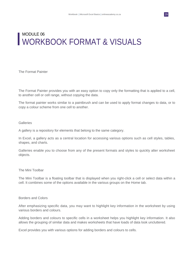### MODULE 06 WORKBOOK FORMAT & VISUALS

The Format Painter

The Format Painter provides you with an easy option to copy only the formatting that is applied to a cell, to another cell or cell range, without copying the data.

The format painter works similar to a paintbrush and can be used to apply format changes to data, or to copy a colour scheme from one cell to another.

#### **Galleries**

A gallery is a repository for elements that belong to the same category.

In Excel, a gallery acts as a central location for accessing various options such as cell styles, tables, shapes, and charts.

Galleries enable you to choose from any of the present formats and styles to quickly alter worksheet objects.

#### The Mini Toolbar

The Mini Toolbar is a floating toolbar that is displayed when you right-click a cell or select data within a cell. It combines some of the options available in the various groups on the Home tab.

#### Borders and Colors

After emphasizing specific data, you may want to highlight key information in the worksheet by using various borders and colours.

Adding borders and colours to specific cells in a worksheet helps you highlight key information. It also allows the grouping of similar data and makes worksheets that have loads of data look uncluttered.

Excel provides you with various options for adding borders and colours to cells.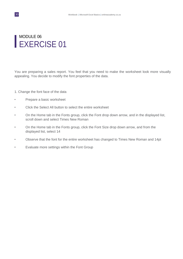### MODULE 06 EXERCISE 01

You are preparing a sales report. You feel that you need to make the worksheet look more visually appealing. You decide to modify the font properties of the data.

- 1. Change the font face of the data
- Prepare a basic worksheet
- Click the Select All button to select the entire worksheet
- On the Home tab in the Fonts group, click the Font drop down arrow, and in the displayed list, scroll down and select Times New Roman
- On the Home tab in the Fonts group, click the Font Size drop down arrow, and from the displayed list, select 14
- Observe that the font for the entire worksheet has changed to Times New Roman and 14pt
- Evaluate more settings within the Font Group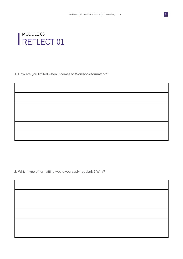

1. How are you limited when it comes to Workbook formatting?

2. Which type of formatting would you apply regularly? Why?

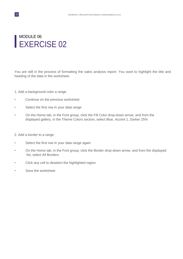### MODULE 06 EXERCISE 02

You are still in the process of formatting the sales analysis report. You want to highlight the title and heading of the data in the worksheet.

- 1. Add a background color a range
- Continue on the previous worksheet
- Select the first row in your data range
- On the Home tab, in the Font group, click the Fill Color drop-down arrow, and from the displayed gallery, in the Theme Colors section, select Blue, Accent 1, Darker 25%
- 2. Add a border to a range
- Select the first row in your data range again
- On the Home tab, in the Font group, click the Border drop-down arrow, and from the displayed list, select All Borders
- Click any cell to deselect the highlighted region
- Save the worksheet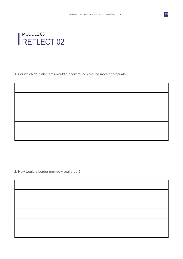

1. For which data elements would a background color be more appropriate

2. How would a border provide visual order?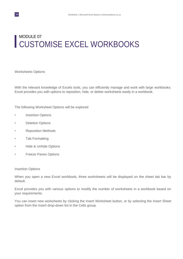# MODULE 07 CUSTOMISE EXCEL WORKBOOKS

Worksheets Options

With the relevant knowledge of Excels tools, you can efficiently manage and work with large workbooks. Excel provides you with options to reposition, hide, or delete worksheets easily in a workbook.

The following Worksheet Options will be explored

- Insertion Options
- Deletion Options
- Reposition Methods
- Tab Formatting
- Hide & Unhide Options
- Freeze Panes Options

#### Insertion Options

When you open a new Excel workbook, three worksheets will be displayed on the sheet tab bar by default.

Excel provides you with various options to modify the number of worksheets in a workbook based on your requirements.

You can insert new worksheets by clicking the Insert Worksheet button, or by selecting the Insert Sheet option from the Insert drop-down list in the Cells group.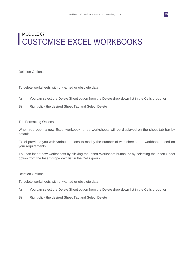# MODULE 07 CUSTOMISE EXCEL WORKBOOKS

Deletion Options

To delete worksheets with unwanted or obsolete data,

- A) You can select the Delete Sheet option from the Delete drop-down list in the Cells group, or
- B) Right-click the desired Sheet Tab and Select Delete

#### Tab Formatting Options

When you open a new Excel workbook, three worksheets will be displayed on the sheet tab bar by default.

Excel provides you with various options to modify the number of worksheets in a workbook based on your requirements.

You can insert new worksheets by clicking the Insert Worksheet button, or by selecting the Insert Sheet option from the Insert drop-down list in the Cells group.

#### Deletion Options

To delete worksheets with unwanted or obsolete data,

- A) You can select the Delete Sheet option from the Delete drop-down list in the Cells group, or
- B) Right-click the desired Sheet Tab and Select Delete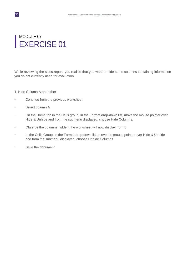### MODULE 07 EXERCISE 01

While reviewing the sales report, you realize that you want to hide some columns containing information you do not currently need for evaluation.

- 1. Hide Column A and other
- Continue from the previous worksheet
- Select column A
- On the Home tab in the Cells group, in the Format drop-down list, move the mouse pointer over Hide & Unhide and from the submenu displayed, choose Hide Columns.
- Observe the columns hidden, the worksheet will now display from B
- In the Cells Group, in the Format drop-down list, move the mouse pointer over Hide & Unhide and from the submenu displayed, choose Unhide Columns
- Save the document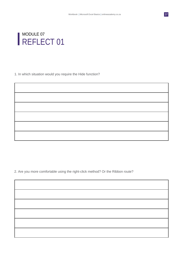

1. In which situation would you require the Hide function?

2. Are you more comfortable using the right-click method? Or the Ribbon route?

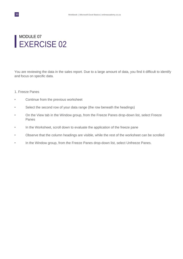### MODULE 07 EXERCISE 02

You are reviewing the data in the sales report. Due to a large amount of data, you find it difficult to identify and focus on specific data.

#### 1. Freeze Panes

- Continue from the previous worksheet
- Select the second row of your data range (the row beneath the headings)
- On the View tab in the Window group, from the Freeze Panes drop-down list, select Freeze Panes
- In the Worksheet, scroll down to evaluate the application of the freeze pane
- Observe that the column headings are visible, while the rest of the worksheet can be scrolled
- In the Window group, from the Freeze Panes drop-down list, select Unfreeze Panes.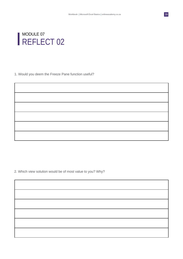

1. Would you deem the Freeze Pane function useful?

2. Which view solution would be of most value to you? Why?

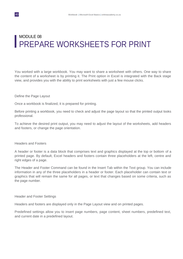### MODULE 08 PREPARE WORKSHEETS FOR PRINT

You worked with a large workbook. You may want to share a worksheet with others. One way to share the content of a worksheet is by printing it. The Print option in Excel is integrated with the Back stage view, and provides you with the ability to print worksheets with just a few mouse clicks.

#### Define the Page Layout

Once a workbook is finalized, it is prepared for printing.

Before printing a workbook, you need to check and adjust the page layout so that the printed output looks professional.

To achieve the desired print output, you may need to adjust the layout of the worksheets, add headers and footers, or change the page orientation.

#### Headers and Footers

A header or footer is a data block that comprises text and graphics displayed at the top or bottom of a printed page. By default, Excel headers and footers contain three placeholders at the left, centre and right edges of a page.

The Header and Footer Command can be found in the Insert Tab within the Text group. You can include information in any of the three placeholders in a header or footer. Each placeholder can contain text or graphics that will remain the same for all pages, or text that changes based on some criteria, such as the page number.

#### Header and Footer Settings

Headers and footers are displayed only in the Page Layout view and on printed pages.

Predefined settings allow you to insert page numbers, page content, sheet numbers, predefined text, and current date in a predefined layout.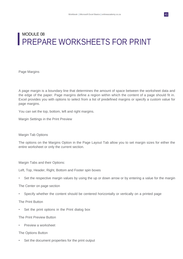# MODULE 08 PREPARE WORKSHEETS FOR PRINT

Page Margins

A page margin is a boundary line that determines the amount of space between the worksheet data and the edge of the paper. Page margins define a region within which the content of a page should fit in. Excel provides you with options to select from a list of predefined margins or specify a custom value for page margins.

You can set the top, bottom, left and right margins.

Margin Settings in the Print Preview

#### Margin Tab Options

The options on the Margins Option in the Page Layout Tab allow you to set margin sizes for either the entire worksheet or only the current section.

Margin Tabs and their Options:

Left, Top, Header, Right, Bottom and Footer spin boxes

• Set the respective margin values by using the up or down arrow or by entering a value for the margin

The Center on page section

• Specify whether the content should be centered horizontally or vertically on a printed page

The Print Button

• Set the print options in the Print dialog box

The Print Preview Button

• Preview a worksheet

The Options Button

Set the document properties for the print output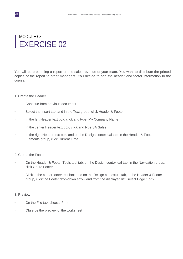### MODULE 08 EXERCISE 02

You will be presenting a report on the sales revenue of your team. You want to distribute the printed copies of the report to other managers. You decide to add the header and footer information to the copies.

#### 1. Create the Header

- Continue from previous document
- Select the Insert tab, and in the Text group, click Header & Footer
- In the left Header text box, click and type, My Company Name
- In the center Header text box, click and type SA Sales
- In the right Header text box, and on the Design contextual tab, in the Header & Footer Elements group, click Current Time

#### 2. Create the Footer

- On the Header & Footer Tools tool tab, on the Design contextual tab, in the Navigation group, click Go To Footer
- Click in the center footer text box, and on the Design contextual tab, in the Header & Footer group, click the Footer drop-down arrow and from the displayed list, select Page 1 of ?

#### 3. Preview

- On the File tab, choose Print
- Observe the preview of the worksheet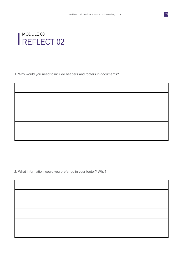

1. Why would you need to include headers and footers in documents?

2. What information would you prefer go in your footer? Why?